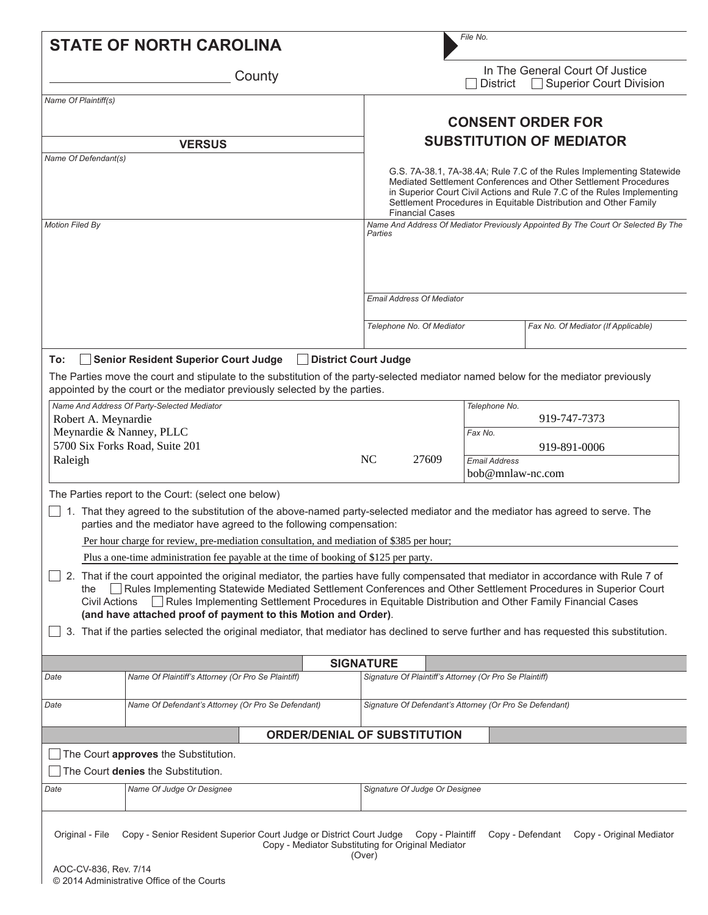| <b>STATE OF NORTH CAROLINA</b>                                                                                                                                                                                                                                                                                                                                                                                                                                                                                                                         |                                                              |                                                                                                                                                                                                                                                                                                                 |                           | File No.                                                |                                                                                   |
|--------------------------------------------------------------------------------------------------------------------------------------------------------------------------------------------------------------------------------------------------------------------------------------------------------------------------------------------------------------------------------------------------------------------------------------------------------------------------------------------------------------------------------------------------------|--------------------------------------------------------------|-----------------------------------------------------------------------------------------------------------------------------------------------------------------------------------------------------------------------------------------------------------------------------------------------------------------|---------------------------|---------------------------------------------------------|-----------------------------------------------------------------------------------|
| County                                                                                                                                                                                                                                                                                                                                                                                                                                                                                                                                                 |                                                              |                                                                                                                                                                                                                                                                                                                 |                           | <b>District</b>                                         | In The General Court Of Justice<br><b>Superior Court Division</b>                 |
| Name Of Plaintiff(s)                                                                                                                                                                                                                                                                                                                                                                                                                                                                                                                                   |                                                              |                                                                                                                                                                                                                                                                                                                 |                           |                                                         |                                                                                   |
|                                                                                                                                                                                                                                                                                                                                                                                                                                                                                                                                                        |                                                              | <b>CONSENT ORDER FOR</b>                                                                                                                                                                                                                                                                                        |                           |                                                         |                                                                                   |
| <b>VERSUS</b>                                                                                                                                                                                                                                                                                                                                                                                                                                                                                                                                          |                                                              | <b>SUBSTITUTION OF MEDIATOR</b>                                                                                                                                                                                                                                                                                 |                           |                                                         |                                                                                   |
| Name Of Defendant(s)                                                                                                                                                                                                                                                                                                                                                                                                                                                                                                                                   |                                                              | G.S. 7A-38.1, 7A-38.4A; Rule 7.C of the Rules Implementing Statewide<br>Mediated Settlement Conferences and Other Settlement Procedures<br>in Superior Court Civil Actions and Rule 7.C of the Rules Implementing<br>Settlement Procedures in Equitable Distribution and Other Family<br><b>Financial Cases</b> |                           |                                                         |                                                                                   |
| <b>Motion Filed By</b>                                                                                                                                                                                                                                                                                                                                                                                                                                                                                                                                 |                                                              | Parties                                                                                                                                                                                                                                                                                                         |                           |                                                         | Name And Address Of Mediator Previously Appointed By The Court Or Selected By The |
|                                                                                                                                                                                                                                                                                                                                                                                                                                                                                                                                                        |                                                              | <b>Email Address Of Mediator</b>                                                                                                                                                                                                                                                                                |                           |                                                         |                                                                                   |
|                                                                                                                                                                                                                                                                                                                                                                                                                                                                                                                                                        |                                                              |                                                                                                                                                                                                                                                                                                                 | Telephone No. Of Mediator |                                                         | Fax No. Of Mediator (If Applicable)                                               |
| Senior Resident Superior Court Judge<br>To:<br>The Parties move the court and stipulate to the substitution of the party-selected mediator named below for the mediator previously<br>appointed by the court or the mediator previously selected by the parties.                                                                                                                                                                                                                                                                                       | District Court Judge                                         |                                                                                                                                                                                                                                                                                                                 |                           |                                                         |                                                                                   |
| Name And Address Of Party-Selected Mediator<br>Robert A. Meynardie                                                                                                                                                                                                                                                                                                                                                                                                                                                                                     |                                                              |                                                                                                                                                                                                                                                                                                                 |                           | Telephone No.                                           | 919-747-7373                                                                      |
| Meynardie & Nanney, PLLC                                                                                                                                                                                                                                                                                                                                                                                                                                                                                                                               |                                                              |                                                                                                                                                                                                                                                                                                                 |                           | Fax No.                                                 |                                                                                   |
| 5700 Six Forks Road, Suite 201                                                                                                                                                                                                                                                                                                                                                                                                                                                                                                                         | NC                                                           |                                                                                                                                                                                                                                                                                                                 | 27609                     |                                                         | 919-891-0006                                                                      |
| Raleigh                                                                                                                                                                                                                                                                                                                                                                                                                                                                                                                                                |                                                              |                                                                                                                                                                                                                                                                                                                 |                           | <b>Email Address</b><br>bob@mnlaw-nc.com                |                                                                                   |
| The Parties report to the Court: (select one below)                                                                                                                                                                                                                                                                                                                                                                                                                                                                                                    |                                                              |                                                                                                                                                                                                                                                                                                                 |                           |                                                         |                                                                                   |
| 1. That they agreed to the substitution of the above-named party-selected mediator and the mediator has agreed to serve. The<br>parties and the mediator have agreed to the following compensation:                                                                                                                                                                                                                                                                                                                                                    |                                                              |                                                                                                                                                                                                                                                                                                                 |                           |                                                         |                                                                                   |
| Per hour charge for review, pre-mediation consultation, and mediation of \$385 per hour;                                                                                                                                                                                                                                                                                                                                                                                                                                                               |                                                              |                                                                                                                                                                                                                                                                                                                 |                           |                                                         |                                                                                   |
| Plus a one-time administration fee payable at the time of booking of \$125 per party.<br>2. That if the court appointed the original mediator, the parties have fully compensated that mediator in accordance with Rule 7 of<br>Rules Implementing Statewide Mediated Settlement Conferences and Other Settlement Procedures in Superior Court<br>the<br>Rules Implementing Settlement Procedures in Equitable Distribution and Other Family Financial Cases<br><b>Civil Actions</b><br>(and have attached proof of payment to this Motion and Order). |                                                              |                                                                                                                                                                                                                                                                                                                 |                           |                                                         |                                                                                   |
| 3. That if the parties selected the original mediator, that mediator has declined to serve further and has requested this substitution.                                                                                                                                                                                                                                                                                                                                                                                                                |                                                              |                                                                                                                                                                                                                                                                                                                 |                           |                                                         |                                                                                   |
|                                                                                                                                                                                                                                                                                                                                                                                                                                                                                                                                                        | <b>SIGNATURE</b>                                             |                                                                                                                                                                                                                                                                                                                 |                           |                                                         |                                                                                   |
| Name Of Plaintiff's Attorney (Or Pro Se Plaintiff)<br>Date                                                                                                                                                                                                                                                                                                                                                                                                                                                                                             |                                                              |                                                                                                                                                                                                                                                                                                                 |                           | Signature Of Plaintiff's Attorney (Or Pro Se Plaintiff) |                                                                                   |
| Name Of Defendant's Attorney (Or Pro Se Defendant)<br>Date                                                                                                                                                                                                                                                                                                                                                                                                                                                                                             |                                                              | Signature Of Defendant's Attorney (Or Pro Se Defendant)                                                                                                                                                                                                                                                         |                           |                                                         |                                                                                   |
|                                                                                                                                                                                                                                                                                                                                                                                                                                                                                                                                                        | <b>ORDER/DENIAL OF SUBSTITUTION</b>                          |                                                                                                                                                                                                                                                                                                                 |                           |                                                         |                                                                                   |
| The Court approves the Substitution.<br>The Court denies the Substitution.                                                                                                                                                                                                                                                                                                                                                                                                                                                                             |                                                              |                                                                                                                                                                                                                                                                                                                 |                           |                                                         |                                                                                   |
| Date<br>Name Of Judge Or Designee                                                                                                                                                                                                                                                                                                                                                                                                                                                                                                                      |                                                              | Signature Of Judge Or Designee                                                                                                                                                                                                                                                                                  |                           |                                                         |                                                                                   |
|                                                                                                                                                                                                                                                                                                                                                                                                                                                                                                                                                        |                                                              |                                                                                                                                                                                                                                                                                                                 |                           |                                                         |                                                                                   |
| Copy - Senior Resident Superior Court Judge or District Court Judge<br>Original - File                                                                                                                                                                                                                                                                                                                                                                                                                                                                 | Copy - Mediator Substituting for Original Mediator<br>(Over) |                                                                                                                                                                                                                                                                                                                 | Copy - Plaintiff          |                                                         | Copy - Defendant<br>Copy - Original Mediator                                      |